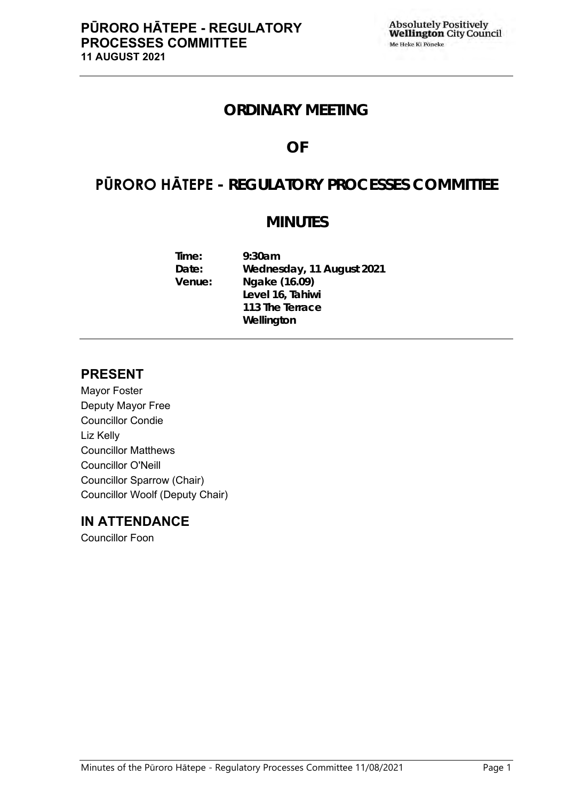# **ORDINARY MEETING**

# **OF**

# **PŪRORO HĀTEPE - REGULATORY PROCESSES COMMITTEE**

# **MINUTES**

**Time: 9:30am Date: Wednesday, 11 August 2021 Venue: Ngake (16.09) Level 16, Tahiwi 113 The Terrace Wellington**

# **PRESENT**

Mayor Foster Deputy Mayor Free Councillor Condie Liz Kelly Councillor Matthews Councillor O'Neill Councillor Sparrow (Chair) Councillor Woolf (Deputy Chair)

# **IN ATTENDANCE**

Councillor Foon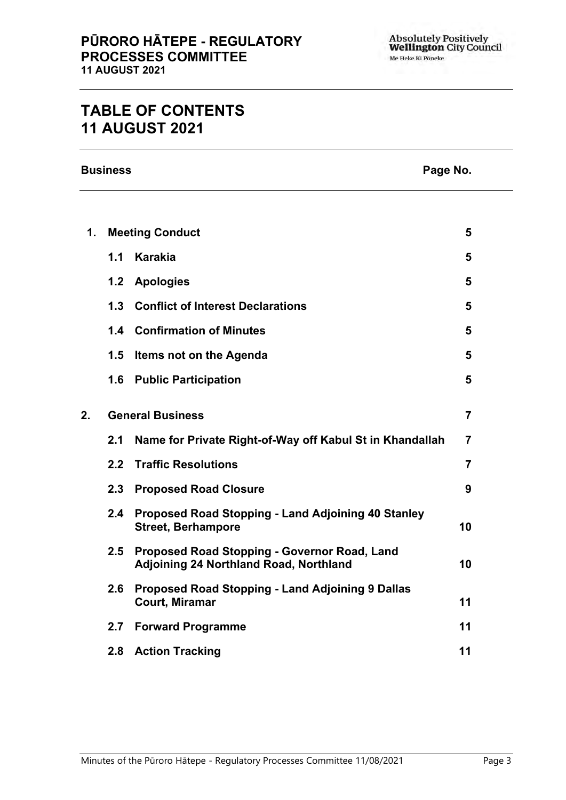# **TABLE OF CONTENTS 11 AUGUST 2021**

**Business Page No.**

| $\mathbf 1$ . | <b>Meeting Conduct</b> |                                                                                               | 5              |  |
|---------------|------------------------|-----------------------------------------------------------------------------------------------|----------------|--|
|               | 1.1                    | Karakia                                                                                       | 5              |  |
|               | 1.2                    | <b>Apologies</b>                                                                              | 5              |  |
|               | 1.3                    | <b>Conflict of Interest Declarations</b>                                                      | 5              |  |
|               |                        | 1.4 Confirmation of Minutes                                                                   | 5              |  |
|               | 1.5                    | Items not on the Agenda                                                                       | 5              |  |
|               | 1.6                    | <b>Public Participation</b>                                                                   | 5              |  |
| 2.            |                        | <b>General Business</b>                                                                       |                |  |
|               | 2.1                    | Name for Private Right-of-Way off Kabul St in Khandallah                                      | $\overline{7}$ |  |
|               | 2.2                    | <b>Traffic Resolutions</b>                                                                    | $\overline{7}$ |  |
|               |                        | 2.3 Proposed Road Closure                                                                     | 9              |  |
|               | 2.4                    | <b>Proposed Road Stopping - Land Adjoining 40 Stanley</b><br><b>Street, Berhampore</b>        | 10             |  |
|               | 2.5                    | Proposed Road Stopping - Governor Road, Land<br><b>Adjoining 24 Northland Road, Northland</b> | 10             |  |
|               | 2.6                    | Proposed Road Stopping - Land Adjoining 9 Dallas<br><b>Court, Miramar</b>                     | 11             |  |
|               | 2.7                    | <b>Forward Programme</b>                                                                      | 11             |  |
|               |                        | 2.8 Action Tracking                                                                           | 11             |  |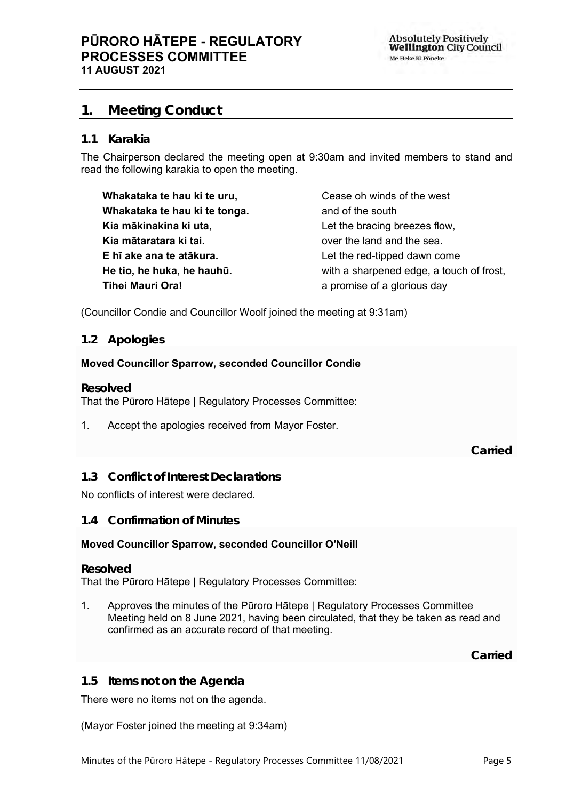# <span id="page-4-0"></span>**1. Meeting Conduct**

#### **1.1 Karakia**

The Chairperson declared the meeting open at 9:30am and invited members to stand and read the following karakia to open the meeting.

| Whakataka te hau ki te uru,   | Cease oh winds of the west               |
|-------------------------------|------------------------------------------|
| Whakataka te hau ki te tonga. | and of the south                         |
| Kia mākinakina ki uta,        | Let the bracing breezes flow,            |
| Kia mātaratara ki tai.        | over the land and the sea.               |
| E hī ake ana te atākura.      | Let the red-tipped dawn come             |
| He tio, he huka, he hauhū.    | with a sharpened edge, a touch of frost, |
| <b>Tihei Mauri Ora!</b>       | a promise of a glorious day              |

<span id="page-4-1"></span>(Councillor Condie and Councillor Woolf joined the meeting at 9:31am)

#### **1.2 Apologies**

#### **Moved Councillor Sparrow, seconded Councillor Condie**

**Resolved**

That the Pūroro Hātepe | Regulatory Processes Committee:

1. Accept the apologies received from Mayor Foster.

**Carried**

#### <span id="page-4-2"></span>**1.3 Conflict of Interest Declarations**

#### No conflicts of interest were declared.

#### <span id="page-4-3"></span>**1.4 Confirmation of Minutes**

#### **Moved Councillor Sparrow, seconded Councillor O'Neill**

#### **Resolved**

That the Pūroro Hātepe | Regulatory Processes Committee:

1. Approves the minutes of the Pūroro Hātepe | Regulatory Processes Committee Meeting held on 8 June 2021, having been circulated, that they be taken as read and confirmed as an accurate record of that meeting.

**Carried**

#### <span id="page-4-4"></span>**1.5 Items not on the Agenda**

There were no items not on the agenda.

(Mayor Foster joined the meeting at 9:34am)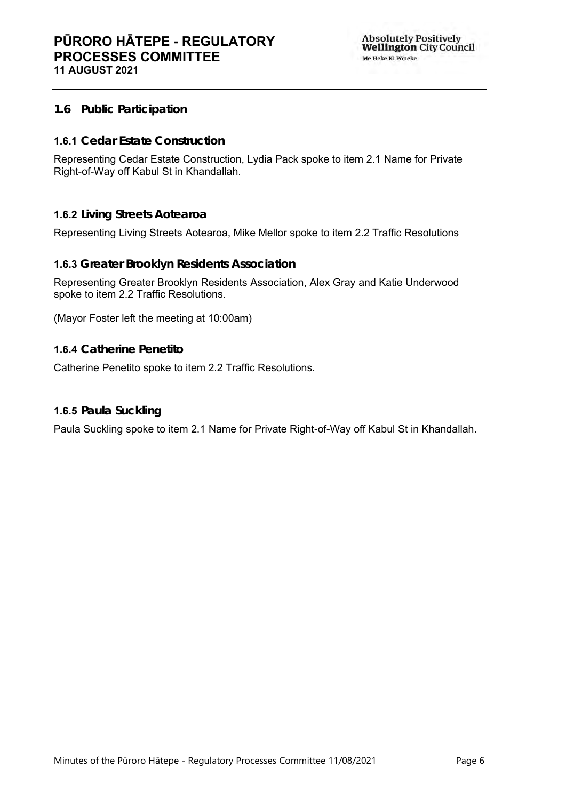## **1.6 Public Participation**

## **1.6.1 Cedar Estate Construction**

Representing Cedar Estate Construction, Lydia Pack spoke to item 2.1 Name for Private Right-of-Way off Kabul St in Khandallah.

### **1.6.2 Living Streets Aotearoa**

Representing Living Streets Aotearoa, Mike Mellor spoke to item 2.2 Traffic Resolutions

### **1.6.3 Greater Brooklyn Residents Association**

Representing Greater Brooklyn Residents Association, Alex Gray and Katie Underwood spoke to item 2.2 Traffic Resolutions.

(Mayor Foster left the meeting at 10:00am)

#### **1.6.4 Catherine Penetito**

Catherine Penetito spoke to item 2.2 Traffic Resolutions.

## **1.6.5 Paula Suckling**

Paula Suckling spoke to item 2.1 Name for Private Right-of-Way off Kabul St in Khandallah.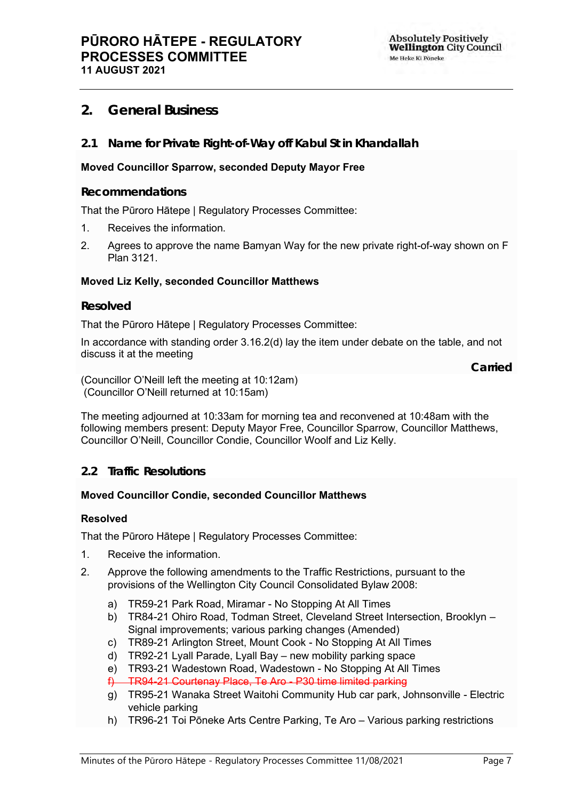# <span id="page-6-0"></span>**2. General Business**

<span id="page-6-1"></span>**2.1 Name for Private Right-of-Way off Kabul St in Khandallah**

### **Moved Councillor Sparrow, seconded Deputy Mayor Free**

#### **Recommendations**

That the Pūroro Hātepe | Regulatory Processes Committee:

- 1. Receives the information.
- 2. Agrees to approve the name Bamyan Way for the new private right-of-way shown on F Plan 3121.

#### **Moved Liz Kelly, seconded Councillor Matthews**

#### **Resolved**

That the Pūroro Hātepe | Regulatory Processes Committee:

In accordance with standing order 3.16.2(d) lay the item under debate on the table, and not discuss it at the meeting

**Carried**

(Councillor O'Neill left the meeting at 10:12am) (Councillor O'Neill returned at 10:15am)

The meeting adjourned at 10:33am for morning tea and reconvened at 10:48am with the following members present: Deputy Mayor Free, Councillor Sparrow, Councillor Matthews, Councillor O'Neill, Councillor Condie, Councillor Woolf and Liz Kelly.

## <span id="page-6-2"></span>**2.2 Traffic Resolutions**

#### **Moved Councillor Condie, seconded Councillor Matthews**

#### **Resolved**

That the Pūroro Hātepe | Regulatory Processes Committee:

- 1. Receive the information.
- 2. Approve the following amendments to the Traffic Restrictions, pursuant to the provisions of the Wellington City Council Consolidated Bylaw 2008:
	- a) TR59-21 Park Road, Miramar No Stopping At All Times
	- b) TR84-21 Ohiro Road, Todman Street, Cleveland Street Intersection, Brooklyn Signal improvements; various parking changes (Amended)
	- c) TR89-21 Arlington Street, Mount Cook No Stopping At All Times
	- d) TR92-21 Lyall Parade, Lyall Bay new mobility parking space
	- e) TR93-21 Wadestown Road, Wadestown No Stopping At All Times
	- f) TR94-21 Courtenay Place, Te Aro P30 time limited parking
	- g) TR95-21 Wanaka Street Waitohi Community Hub car park, Johnsonville Electric vehicle parking
	- h) TR96-21 Toi Pōneke Arts Centre Parking, Te Aro Various parking restrictions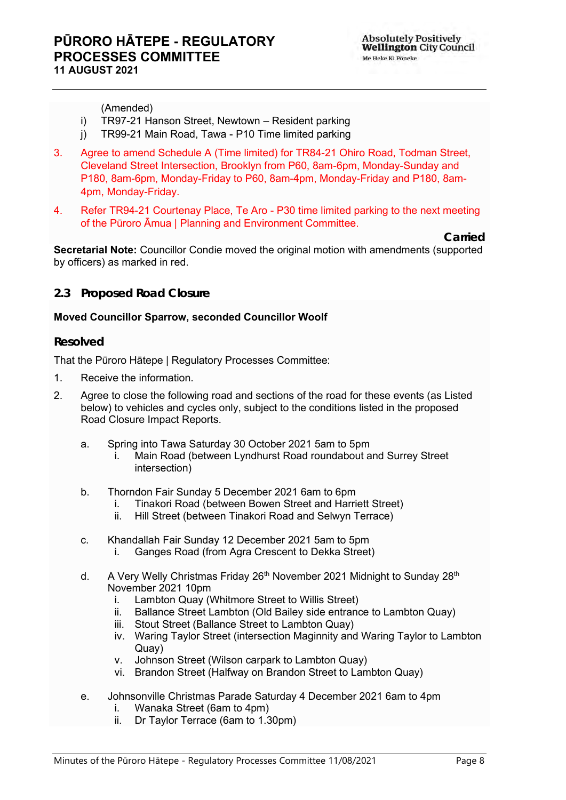**Carried**

(Amended)

- i) TR97-21 Hanson Street, Newtown Resident parking
- j) TR99-21 Main Road, Tawa P10 Time limited parking
- 3. Agree to amend Schedule A (Time limited) for TR84-21 Ohiro Road, Todman Street, Cleveland Street Intersection, Brooklyn from P60, 8am-6pm, Monday-Sunday and P180, 8am-6pm, Monday-Friday to P60, 8am-4pm, Monday-Friday and P180, 8am-4pm, Monday-Friday.
- 4. Refer TR94-21 Courtenay Place, Te Aro P30 time limited parking to the next meeting of the Pūroro Āmua | Planning and Environment Committee.

**Secretarial Note:** Councillor Condie moved the original motion with amendments (supported by officers) as marked in red.

### **2.3 Proposed Road Closure**

#### **Moved Councillor Sparrow, seconded Councillor Woolf**

#### **Resolved**

That the Pūroro Hātepe | Regulatory Processes Committee:

- 1. Receive the information.
- 2. Agree to close the following road and sections of the road for these events (as Listed below) to vehicles and cycles only, subject to the conditions listed in the proposed Road Closure Impact Reports.
	- a. Spring into Tawa Saturday 30 October 2021 5am to 5pm
		- i. Main Road (between Lyndhurst Road roundabout and Surrey Street intersection)
	- b. Thorndon Fair Sunday 5 December 2021 6am to 6pm
		- i. Tinakori Road (between Bowen Street and Harriett Street)<br>ii. Hill Street (between Tinakori Road and Selwyn Terrace)
		- Hill Street (between Tinakori Road and Selwyn Terrace)
	- c. Khandallah Fair Sunday 12 December 2021 5am to 5pm
		- i. Ganges Road (from Agra Crescent to Dekka Street)
	- d. A Very Welly Christmas Friday  $26<sup>th</sup>$  November 2021 Midnight to Sunday  $28<sup>th</sup>$ November 2021 10pm
		-
		- i. Lambton Quay (Whitmore Street to Willis Street)<br>ii. Ballance Street Lambton (Old Bailev side entranc Ballance Street Lambton (Old Bailey side entrance to Lambton Quay)
		- iii. Stout Street (Ballance Street to Lambton Quay)
		- iv. Waring Taylor Street (intersection Maginnity and Waring Taylor to Lambton Quay)
		- v. Johnson Street (Wilson carpark to Lambton Quay)
		- vi. Brandon Street (Halfway on Brandon Street to Lambton Quay)
	- e. Johnsonville Christmas Parade Saturday 4 December 2021 6am to 4pm i. Wanaka Street (6am to 4pm)
		- ii. Dr Taylor Terrace (6am to 1.30pm)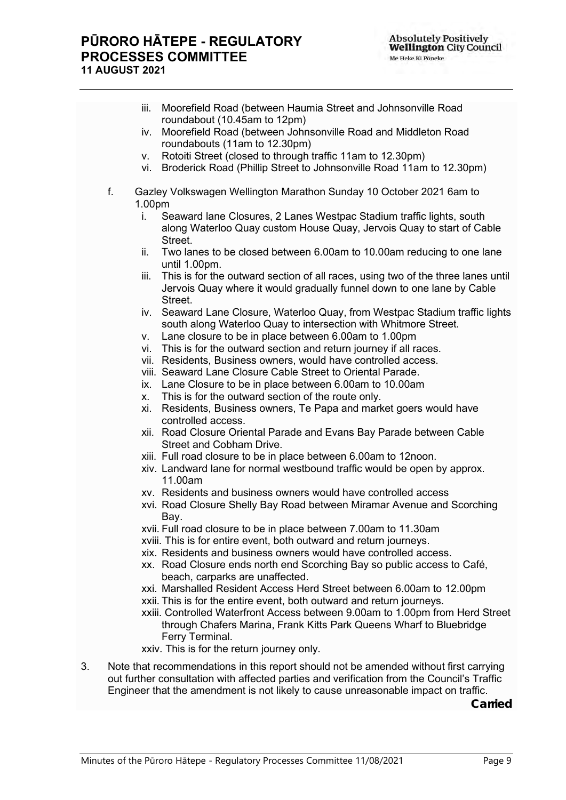# **PŪRORO HĀTEPE - REGULATORY PROCESSES COMMITTEE 11 AUGUST 2021**

|     | Moorefield Road (between Haumia Street and Johnsonville Road<br>iii.<br>roundabout (10.45am to 12pm)                                                                    |
|-----|-------------------------------------------------------------------------------------------------------------------------------------------------------------------------|
|     | Moorefield Road (between Johnsonville Road and Middleton Road<br>iv.<br>roundabouts (11am to 12.30pm)                                                                   |
|     | Rotoiti Street (closed to through traffic 11am to 12.30pm)<br>V.                                                                                                        |
|     | Broderick Road (Phillip Street to Johnsonville Road 11am to 12.30pm)<br>vi.                                                                                             |
| f.  | Gazley Volkswagen Wellington Marathon Sunday 10 October 2021 6am to                                                                                                     |
|     | 1.00pm                                                                                                                                                                  |
| i.  | Seaward lane Closures, 2 Lanes Westpac Stadium traffic lights, south<br>along Waterloo Quay custom House Quay, Jervois Quay to start of Cable<br>Street.                |
| ii. | Two lanes to be closed between 6.00am to 10.00am reducing to one lane<br>until 1.00pm.                                                                                  |
|     | This is for the outward section of all races, using two of the three lanes until<br>iii.                                                                                |
|     | Jervois Quay where it would gradually funnel down to one lane by Cable<br>Street.                                                                                       |
|     | iv. Seaward Lane Closure, Waterloo Quay, from Westpac Stadium traffic lights<br>south along Waterloo Quay to intersection with Whitmore Street.                         |
|     | Lane closure to be in place between 6.00am to 1.00pm<br>V.                                                                                                              |
|     | vi. This is for the outward section and return journey if all races.                                                                                                    |
|     | vii. Residents, Business owners, would have controlled access.                                                                                                          |
|     | viii. Seaward Lane Closure Cable Street to Oriental Parade.                                                                                                             |
|     | ix. Lane Closure to be in place between 6.00am to 10.00am                                                                                                               |
|     | This is for the outward section of the route only.<br>X.                                                                                                                |
|     | Residents, Business owners, Te Papa and market goers would have<br>xi.<br>controlled access.                                                                            |
|     | xii. Road Closure Oriental Parade and Evans Bay Parade between Cable<br><b>Street and Cobham Drive.</b>                                                                 |
|     | xiii. Full road closure to be in place between 6.00am to 12noon.                                                                                                        |
|     | xiv. Landward lane for normal westbound traffic would be open by approx.<br>11.00am                                                                                     |
|     | xv. Residents and business owners would have controlled access                                                                                                          |
|     | xvi. Road Closure Shelly Bay Road between Miramar Avenue and Scorching<br>Bay.                                                                                          |
|     | xvii. Full road closure to be in place between 7.00am to 11.30am                                                                                                        |
|     | xviii. This is for entire event, both outward and return journeys.                                                                                                      |
|     | xix. Residents and business owners would have controlled access.                                                                                                        |
|     | xx. Road Closure ends north end Scorching Bay so public access to Café,<br>beach, carparks are unaffected.                                                              |
|     | xxi. Marshalled Resident Access Herd Street between 6.00am to 12.00pm                                                                                                   |
|     | xxii. This is for the entire event, both outward and return journeys.                                                                                                   |
|     | xxiii. Controlled Waterfront Access between 9.00am to 1.00pm from Herd Street<br>through Chafers Marina, Frank Kitts Park Queens Wharf to Bluebridge<br>Ferry Terminal. |
|     | xxiv. This is for the return journey only.                                                                                                                              |
|     |                                                                                                                                                                         |
|     | Note that recommendations in this report should not be amended without first carrying                                                                                   |

<span id="page-8-0"></span>3. Note that recommendations in this report should not be amended without first carrying out further consultation with affected parties and verification from the Council's Traffic Engineer that the amendment is not likely to cause unreasonable impact on traffic.

**Carried**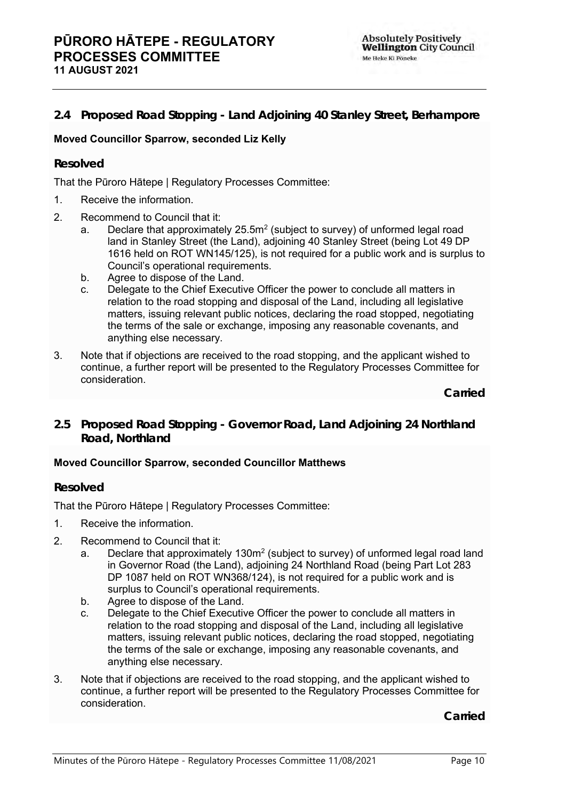## <span id="page-9-0"></span>**2.4 Proposed Road Stopping - Land Adjoining 40 Stanley Street, Berhampore**

### **Moved Councillor Sparrow, seconded Liz Kelly**

### **Resolved**

That the Pūroro Hātepe | Regulatory Processes Committee:

- 1. Receive the information.
- 2. Recommend to Council that it:
	- a. Declare that approximately 25.5 $m^2$  (subject to survey) of unformed legal road land in Stanley Street (the Land), adjoining 40 Stanley Street (being Lot 49 DP 1616 held on ROT WN145/125), is not required for a public work and is surplus to Council's operational requirements.
	- b. Agree to dispose of the Land.
	- c. Delegate to the Chief Executive Officer the power to conclude all matters in relation to the road stopping and disposal of the Land, including all legislative matters, issuing relevant public notices, declaring the road stopped, negotiating the terms of the sale or exchange, imposing any reasonable covenants, and anything else necessary.
- 3. Note that if objections are received to the road stopping, and the applicant wished to continue, a further report will be presented to the Regulatory Processes Committee for consideration.

**Carried**

<span id="page-9-1"></span>**2.5 Proposed Road Stopping - Governor Road, Land Adjoining 24 Northland Road, Northland**

#### **Moved Councillor Sparrow, seconded Councillor Matthews**

#### **Resolved**

That the Pūroro Hātepe | Regulatory Processes Committee:

- 1. Receive the information.
- 2. Recommend to Council that it:
	- a. Declare that approximately 130 $m^2$  (subject to survey) of unformed legal road land in Governor Road (the Land), adjoining 24 Northland Road (being Part Lot 283 DP 1087 held on ROT WN368/124), is not required for a public work and is surplus to Council's operational requirements.
	- b. Agree to dispose of the Land.
	- c. Delegate to the Chief Executive Officer the power to conclude all matters in relation to the road stopping and disposal of the Land, including all legislative matters, issuing relevant public notices, declaring the road stopped, negotiating the terms of the sale or exchange, imposing any reasonable covenants, and anything else necessary.
- 3. Note that if objections are received to the road stopping, and the applicant wished to continue, a further report will be presented to the Regulatory Processes Committee for consideration.

**Carried**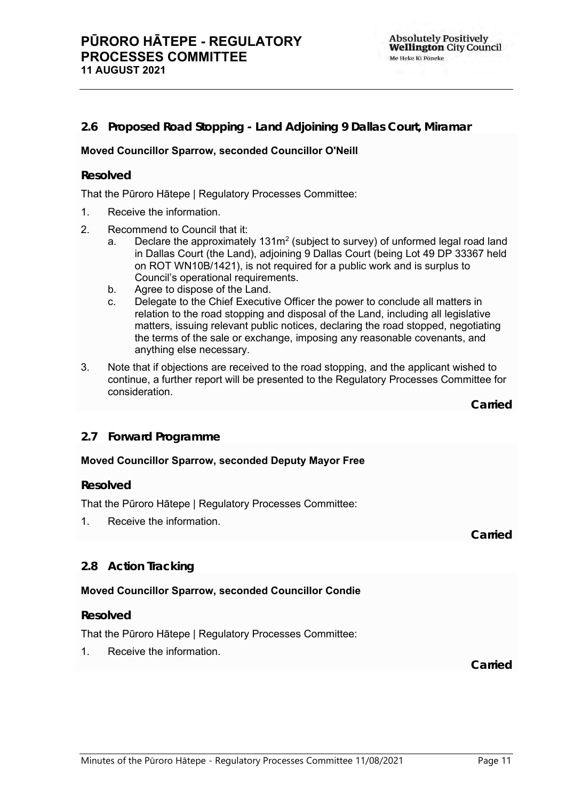## <span id="page-10-0"></span>**2.6 Proposed Road Stopping - Land Adjoining 9 Dallas Court, Miramar**

#### **Moved Councillor Sparrow, seconded Councillor O'Neill**

#### **Resolved**

That the Pūroro Hātepe | Regulatory Processes Committee:

- 1. Receive the information.
- 2. Recommend to Council that it:
	- a. Declare the approximately 131 $m^2$  (subject to survey) of unformed legal road land in Dallas Court (the Land), adjoining 9 Dallas Court (being Lot 49 DP 33367 held on ROT WN10B/1421), is not required for a public work and is surplus to Council's operational requirements.
	- b. Agree to dispose of the Land.
	- c. Delegate to the Chief Executive Officer the power to conclude all matters in relation to the road stopping and disposal of the Land, including all legislative matters, issuing relevant public notices, declaring the road stopped, negotiating the terms of the sale or exchange, imposing any reasonable covenants, and anything else necessary.
- 3. Note that if objections are received to the road stopping, and the applicant wished to continue, a further report will be presented to the Regulatory Processes Committee for consideration.

**Carried**

**Carried**

#### <span id="page-10-1"></span>**2.7 Forward Programme**

#### **Moved Councillor Sparrow, seconded Deputy Mayor Free**

#### **Resolved**

That the Pūroro Hātepe | Regulatory Processes Committee:

1. Receive the information.

#### <span id="page-10-2"></span>**2.8 Action Tracking**

#### **Moved Councillor Sparrow, seconded Councillor Condie**

#### **Resolved**

That the Pūroro Hātepe | Regulatory Processes Committee:

1. Receive the information.

**Carried**